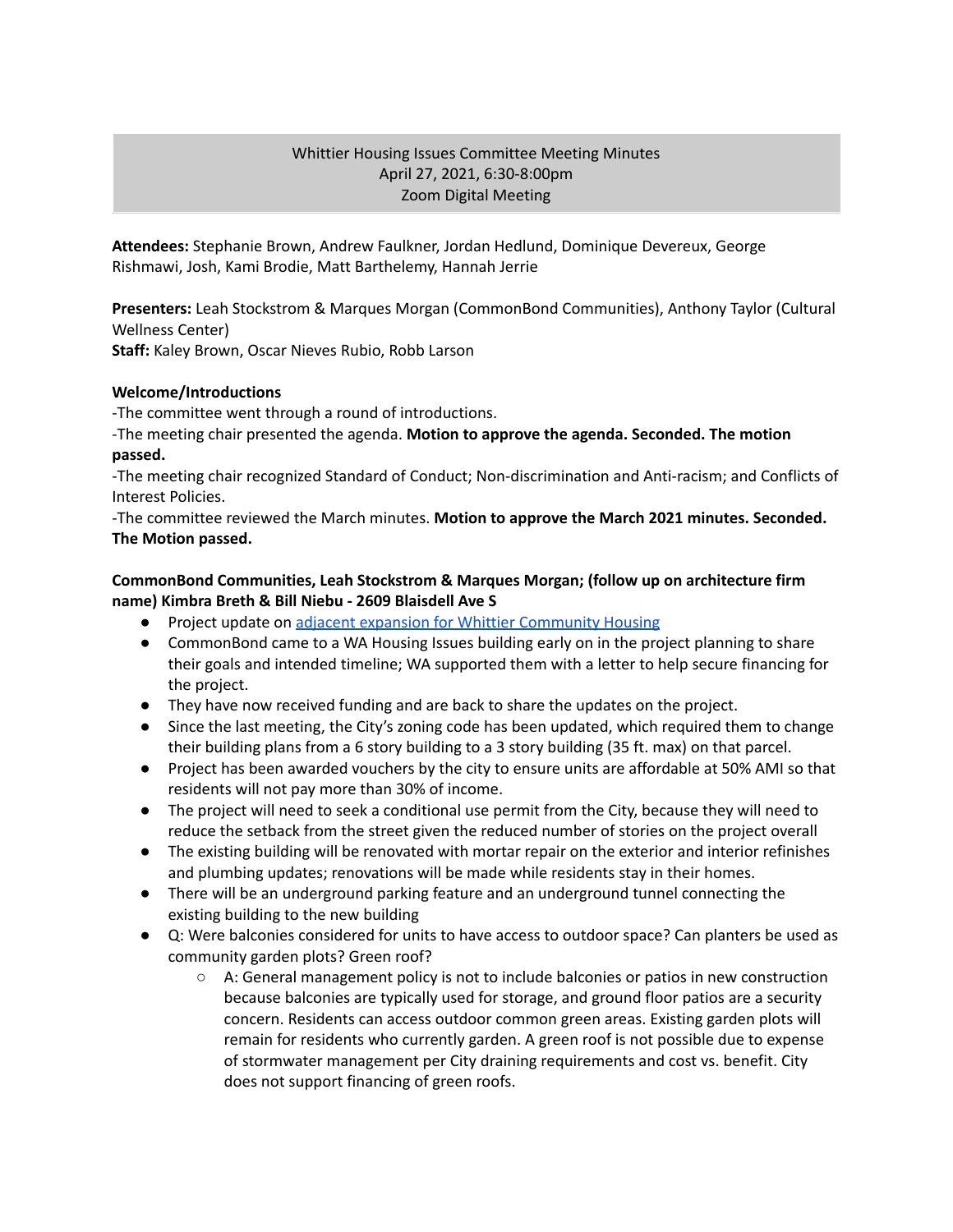## Whittier Housing Issues Committee Meeting Minutes April 27, 2021, 6:30-8:00pm Zoom Digital Meeting

**Attendees:** Stephanie Brown, Andrew Faulkner, Jordan Hedlund, Dominique Devereux, George Rishmawi, Josh, Kami Brodie, Matt Barthelemy, Hannah Jerrie

**Presenters:** Leah Stockstrom & Marques Morgan (CommonBond Communities), Anthony Taylor (Cultural Wellness Center)

**Staff:** Kaley Brown, Oscar Nieves Rubio, Robb Larson

#### **Welcome/Introductions**

-The committee went through a round of introductions.

-The meeting chair presented the agenda. **Motion to approve the agenda. Seconded. The motion passed.**

-The meeting chair recognized Standard of Conduct; Non-discrimination and Anti-racism; and Conflicts of Interest Policies.

-The committee reviewed the March minutes. **Motion to approve the March 2021 minutes. Seconded. The Motion passed.**

### **CommonBond Communities, Leah Stockstrom & Marques Morgan; (follow up on architecture firm name) Kimbra Breth & Bill Niebu - 2609 Blaisdell Ave S**

- Project update on adjacent expansion for Whittier [Community](http://www.whittieralliance.org/development-tracker.html) Housing
- CommonBond came to a WA Housing Issues building early on in the project planning to share their goals and intended timeline; WA supported them with a letter to help secure financing for the project.
- They have now received funding and are back to share the updates on the project.
- Since the last meeting, the City's zoning code has been updated, which required them to change their building plans from a 6 story building to a 3 story building (35 ft. max) on that parcel.
- Project has been awarded vouchers by the city to ensure units are affordable at 50% AMI so that residents will not pay more than 30% of income.
- The project will need to seek a conditional use permit from the City, because they will need to reduce the setback from the street given the reduced number of stories on the project overall
- The existing building will be renovated with mortar repair on the exterior and interior refinishes and plumbing updates; renovations will be made while residents stay in their homes.
- There will be an underground parking feature and an underground tunnel connecting the existing building to the new building
- Q: Were balconies considered for units to have access to outdoor space? Can planters be used as community garden plots? Green roof?
	- $\circ$  A: General management policy is not to include balconies or patios in new construction because balconies are typically used for storage, and ground floor patios are a security concern. Residents can access outdoor common green areas. Existing garden plots will remain for residents who currently garden. A green roof is not possible due to expense of stormwater management per City draining requirements and cost vs. benefit. City does not support financing of green roofs.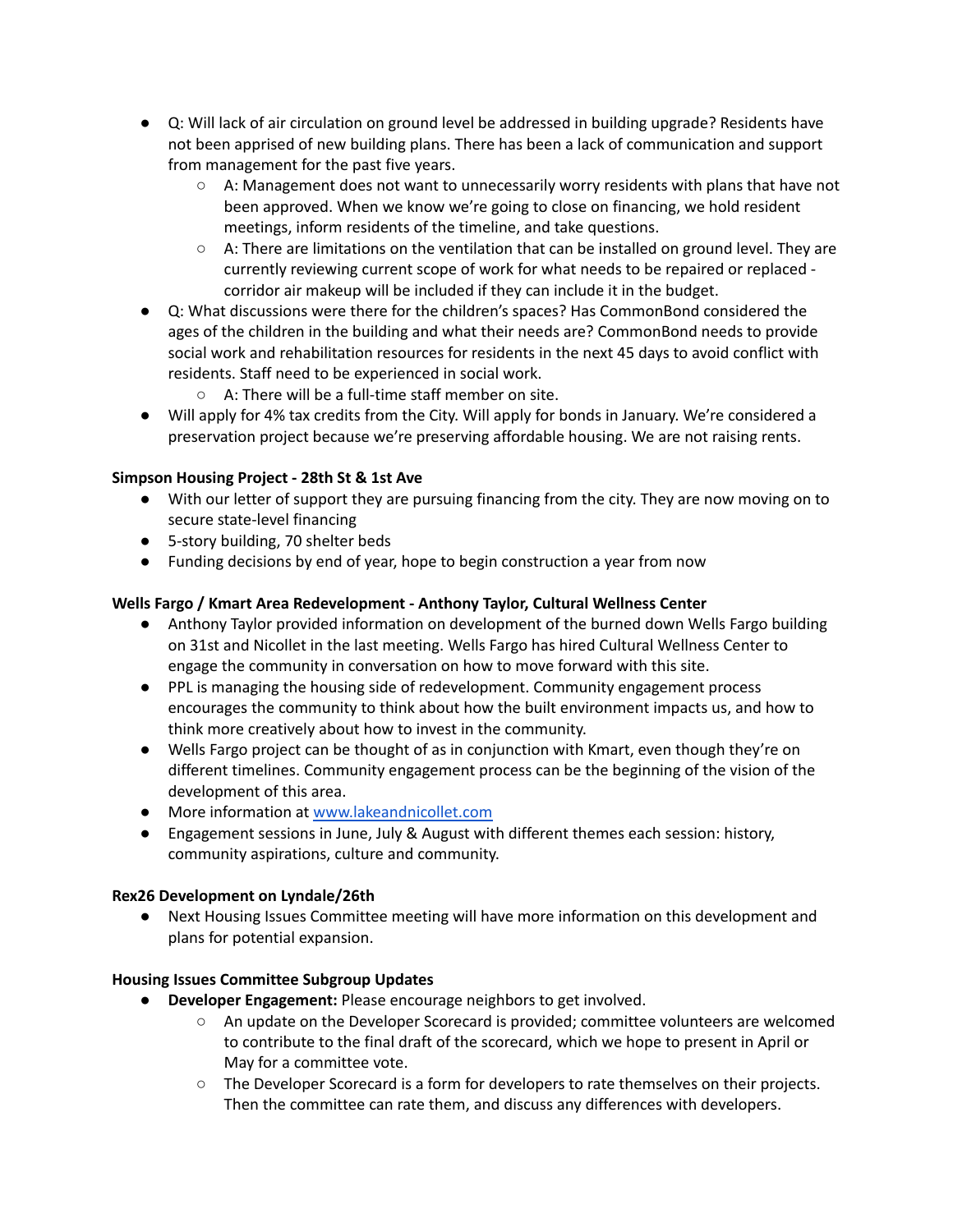- Q: Will lack of air circulation on ground level be addressed in building upgrade? Residents have not been apprised of new building plans. There has been a lack of communication and support from management for the past five years.
	- A: Management does not want to unnecessarily worry residents with plans that have not been approved. When we know we're going to close on financing, we hold resident meetings, inform residents of the timeline, and take questions.
	- $\circ$  A: There are limitations on the ventilation that can be installed on ground level. They are currently reviewing current scope of work for what needs to be repaired or replaced corridor air makeup will be included if they can include it in the budget.
- Q: What discussions were there for the children's spaces? Has CommonBond considered the ages of the children in the building and what their needs are? CommonBond needs to provide social work and rehabilitation resources for residents in the next 45 days to avoid conflict with residents. Staff need to be experienced in social work.
	- A: There will be a full-time staff member on site.
- Will apply for 4% tax credits from the City. Will apply for bonds in January. We're considered a preservation project because we're preserving affordable housing. We are not raising rents.

## **Simpson Housing Project - 28th St & 1st Ave**

- With our letter of support they are pursuing financing from the city. They are now moving on to secure state-level financing
- 5-story building, 70 shelter beds
- Funding decisions by end of year, hope to begin construction a year from now

# **Wells Fargo / Kmart Area Redevelopment - Anthony Taylor, Cultural Wellness Center**

- Anthony Taylor provided information on development of the burned down Wells Fargo building on 31st and Nicollet in the last meeting. Wells Fargo has hired Cultural Wellness Center to engage the community in conversation on how to move forward with this site.
- PPL is managing the housing side of redevelopment. Community engagement process encourages the community to think about how the built environment impacts us, and how to think more creatively about how to invest in the community.
- Wells Fargo project can be thought of as in conjunction with Kmart, even though they're on different timelines. Community engagement process can be the beginning of the vision of the development of this area.
- More information at [www.lakeandnicollet.com](http://www.lakeandnicollet.com)
- Engagement sessions in June, July & August with different themes each session: history, community aspirations, culture and community.

## **Rex26 Development on Lyndale/26th**

● Next Housing Issues Committee meeting will have more information on this development and plans for potential expansion.

## **Housing Issues Committee Subgroup Updates**

- **● Developer Engagement:** Please encourage neighbors to get involved.
	- An update on the Developer Scorecard is provided; committee volunteers are welcomed to contribute to the final draft of the scorecard, which we hope to present in April or May for a committee vote.
	- The Developer Scorecard is a form for developers to rate themselves on their projects. Then the committee can rate them, and discuss any differences with developers.